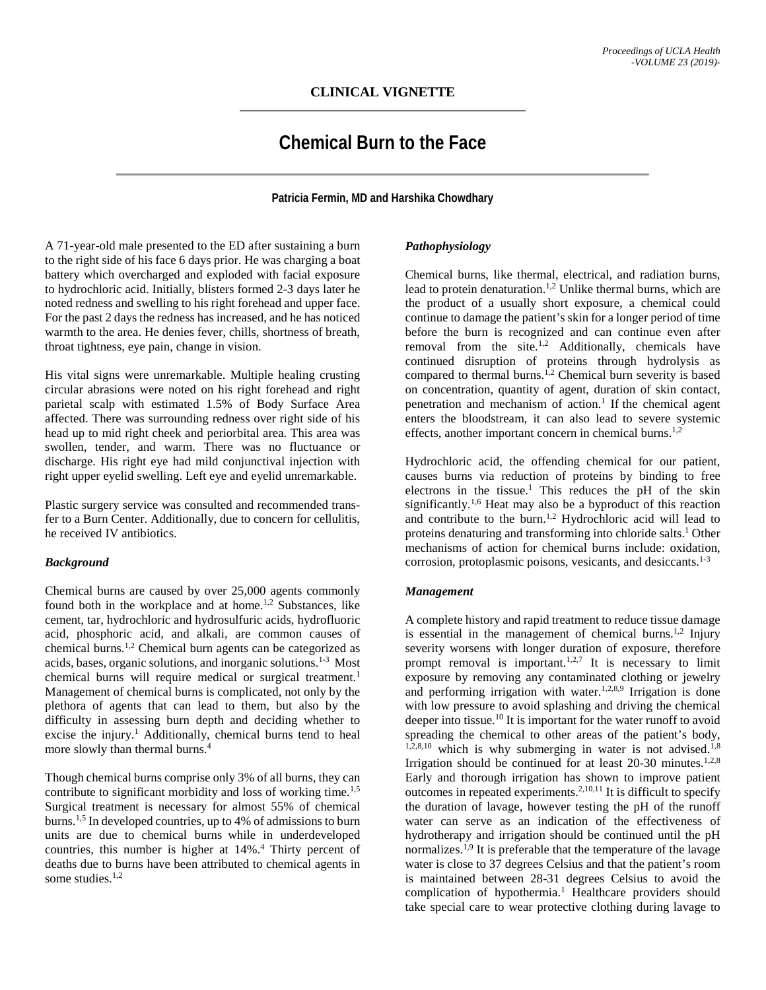# **Chemical Burn to the Face**

**Patricia Fermin, MD and Harshika Chowdhary**

A 71-year-old male presented to the ED after sustaining a burn to the right side of his face 6 days prior. He was charging a boat battery which overcharged and exploded with facial exposure to hydrochloric acid. Initially, blisters formed 2-3 days later he noted redness and swelling to his right forehead and upper face. For the past 2 days the redness has increased, and he has noticed warmth to the area. He denies fever, chills, shortness of breath, throat tightness, eye pain, change in vision.

His vital signs were unremarkable. Multiple healing crusting circular abrasions were noted on his right forehead and right parietal scalp with estimated 1.5% of Body Surface Area affected. There was surrounding redness over right side of his head up to mid right cheek and periorbital area. This area was swollen, tender, and warm. There was no fluctuance or discharge. His right eye had mild conjunctival injection with right upper eyelid swelling. Left eye and eyelid unremarkable.

Plastic surgery service was consulted and recommended transfer to a Burn Center. Additionally, due to concern for cellulitis, he received IV antibiotics.

### *Background*

Chemical burns are caused by over 25,000 agents commonly found both in the workplace and at home.<sup>1,2</sup> Substances, like cement, tar, hydrochloric and hydrosulfuric acids, hydrofluoric acid, phosphoric acid, and alkali, are common causes of chemical burns.1,2 Chemical burn agents can be categorized as acids, bases, organic solutions, and inorganic solutions.<sup>1-3</sup> Most chemical burns will require medical or surgical treatment.<sup>1</sup> Management of chemical burns is complicated, not only by the plethora of agents that can lead to them, but also by the difficulty in assessing burn depth and deciding whether to excise the injury.<sup>1</sup> Additionally, chemical burns tend to heal more slowly than thermal burns.<sup>4</sup>

Though chemical burns comprise only 3% of all burns, they can contribute to significant morbidity and loss of working time.<sup>1,5</sup> Surgical treatment is necessary for almost 55% of chemical burns.1,5 In developed countries, up to 4% of admissions to burn units are due to chemical burns while in underdeveloped countries, this number is higher at 14%.4 Thirty percent of deaths due to burns have been attributed to chemical agents in some studies. $1,2$ 

## *Pathophysiology*

Chemical burns, like thermal, electrical, and radiation burns, lead to protein denaturation.<sup>1,2</sup> Unlike thermal burns, which are the product of a usually short exposure, a chemical could continue to damage the patient's skin for a longer period of time before the burn is recognized and can continue even after removal from the site.<sup>1,2</sup> Additionally, chemicals have continued disruption of proteins through hydrolysis as compared to thermal burns.<sup>1,2</sup> Chemical burn severity is based on concentration, quantity of agent, duration of skin contact, penetration and mechanism of action.<sup>1</sup> If the chemical agent enters the bloodstream, it can also lead to severe systemic effects, another important concern in chemical burns.<sup>1,2</sup>

Hydrochloric acid, the offending chemical for our patient, causes burns via reduction of proteins by binding to free electrons in the tissue.<sup>1</sup> This reduces the pH of the skin significantly.<sup>1,6</sup> Heat may also be a byproduct of this reaction and contribute to the burn.<sup>1,2</sup> Hydrochloric acid will lead to proteins denaturing and transforming into chloride salts.<sup>1</sup> Other mechanisms of action for chemical burns include: oxidation, corrosion, protoplasmic poisons, vesicants, and desiccants.<sup>1-3</sup>

## *Management*

A complete history and rapid treatment to reduce tissue damage is essential in the management of chemical burns.<sup>1,2</sup> Injury severity worsens with longer duration of exposure, therefore prompt removal is important.<sup>1,2,7</sup> It is necessary to limit exposure by removing any contaminated clothing or jewelry and performing irrigation with water.<sup>1,2,8,9</sup> Irrigation is done with low pressure to avoid splashing and driving the chemical deeper into tissue.<sup>10</sup> It is important for the water runoff to avoid spreading the chemical to other areas of the patient's body,  $1,2,8,10$  which is why submerging in water is not advised.<sup>1,8</sup> Irrigation should be continued for at least  $20-30$  minutes.<sup>1,2,8</sup> Early and thorough irrigation has shown to improve patient outcomes in repeated experiments.<sup>2,10,11</sup> It is difficult to specify the duration of lavage, however testing the pH of the runoff water can serve as an indication of the effectiveness of hydrotherapy and irrigation should be continued until the pH normalizes.<sup>1,9</sup> It is preferable that the temperature of the lavage water is close to 37 degrees Celsius and that the patient's room is maintained between 28-31 degrees Celsius to avoid the complication of hypothermia.<sup>1</sup> Healthcare providers should take special care to wear protective clothing during lavage to